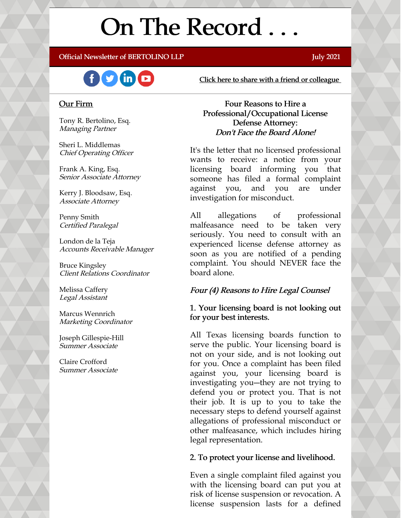# On The Record . . .

## Official Newsletter of BERTOLINO LLP **Server and Server and Server and Server and Server and Server and Server A**



[Click here to share with a friend or colleague](https://visitor.r20.constantcontact.com/manage/optin?v=001xvcZBIZGArRYZxP_ENhTFsnPqgcrAHF_8FAGh0C6OoU_TYzgqPeo9kiI5F5Vb-xdZP7jClYZWX2ttQp6Q7JygJ1sq0DH9MDHJwjzNoREDc4=)

## Our Firm

Tony R. Bertolino, Esq. Managing Partner

Sheri L. Middlemas Chief Operating Officer

Frank A. King, Esq. Senior Associate Attorney

Kerry J. Bloodsaw, Esq. Associate Attorney

Penny Smith Certified Paralegal

London de la Teja Accounts Receivable Manager

Bruce Kingsley Client Relations Coordinator

Melissa Caffery Legal Assistant

Marcus Wennrich Marketing Coordinator

Joseph Gillespie-Hill Summer Associate

Claire Crofford Summer Associate

Four Reasons to Hire a Professional/Occupational License Defense Attorney: Don't Face the Board Alone!

It's the letter that no licensed professional wants to receive: a notice from your licensing board informing you that someone has filed a formal complaint against you, and you are under investigation for misconduct.

All allegations of professional malfeasance need to be taken very seriously. You need to consult with an experienced license defense attorney as soon as you are notified of a pending complaint. You should NEVER face the board alone.

## Four (4) Reasons to Hire Legal Counsel

1. Your licensing board is not looking out for your best interests.

All Texas licensing boards function to serve the public. Your licensing board is not on your side, and is not looking out for you. Once a complaint has been filed against you, your licensing board is investigating you―they are not trying to defend you or protect you. That is not their job. It is up to you to take the necessary steps to defend yourself against allegations of professional misconduct or other malfeasance, which includes hiring legal representation.

## 2. To protect your license and livelihood.

Even a single complaint filed against you with the licensing board can put you at risk of license suspension or revocation. A license suspension lasts for a defined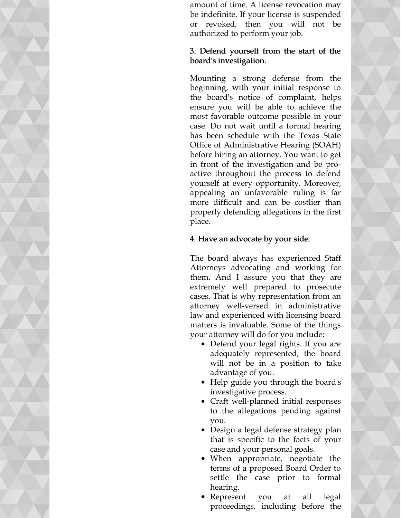amount of time. A license revocation may be indefinite. If your license is suspended or revoked, then you will not be authorized to perform your job.

## 3. Defend yourself from the start of the board's investigation.

Mounting a strong defense from the beginning, with your initial response to the board's notice of complaint, helps ensure you will be able to achieve the most favorable outcome possible in your case. Do not wait until a formal hearing has been schedule with the Texas State Office of Administrative Hearing (SOAH) before hiring an attorney. You want to get in front of the investigation and be proactive throughout the process to defend yourself at every opportunity. Moreover, appealing an unfavorable ruling is far more difficult and can be costlier than properly defending allegations in the first place.

## 4. Have an advocate by your side.

The board always has experienced Staff Attorneys advocating and working for them. And I assure you that they are extremely well prepared to prosecute cases. That is why representation from an attorney well-versed in administrative law and experienced with licensing board matters is invaluable. Some of the things your attorney will do for you include:

- Defend your legal rights. If you are adequately represented, the board will not be in a position to take advantage of you.
- Help guide you through the board's investigative process.
- Craft well-planned initial responses to the allegations pending against you.
- Design a legal defense strategy plan that is specific to the facts of your case and your personal goals.
- When appropriate, negotiate the terms of a proposed Board Order to settle the case prior to formal hearing.
- Represent you at all legal proceedings, including before the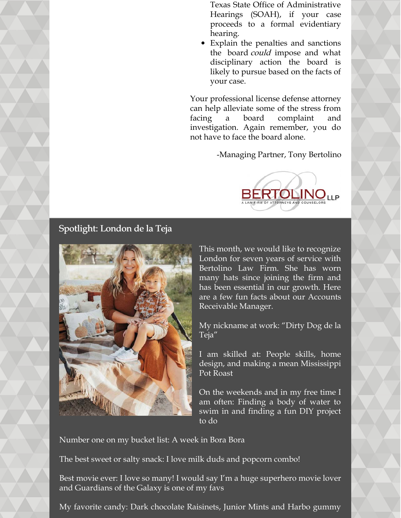Texas State Office of Administrative Hearings (SOAH), if your case proceeds to a formal evidentiary hearing.

Explain the penalties and sanctions the board *could* impose and what disciplinary action the board is likely to pursue based on the facts of your case.

Your professional license defense attorney can help alleviate some of the stress from facing a board complaint and investigation. Again remember, you do not have to face the board alone.

-Managing Partner, Tony Bertolino



## Spotlight: London de la Teja



This month, we would like to recognize London for seven years of service with Bertolino Law Firm. She has worn many hats since joining the firm and has been essential in our growth. Here are a few fun facts about our Accounts Receivable Manager.

My nickname at work: "Dirty Dog de la Teja"

I am skilled at: People skills, home design, and making a mean Mississippi Pot Roast

On the weekends and in my free time I am often: Finding a body of water to swim in and finding a fun DIY project to do

Number one on my bucket list: A week in Bora Bora

The best sweet or salty snack: I love milk duds and popcorn combo!

Best movie ever: I love so many! I would say I'm a huge superhero movie lover and Guardians of the Galaxy is one of my favs

My favorite candy: Dark chocolate Raisinets, Junior Mints and Harbo gummy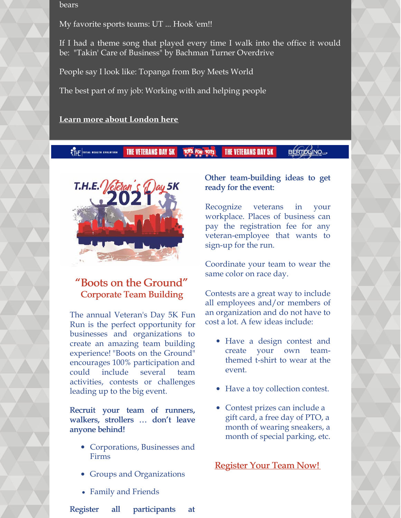bears

My favorite sports teams: UT ... Hook 'em!!

If I had a theme song that played every time I walk into the office it would be: "Takin' Care of Business" by Bachman Turner Overdrive

People say I look like: Topanga from Boy Meets World

The best part of my job: Working with and helping people

**[Learn more about London here](https://www.belolaw.com/about/#london)**

**BÉRTOLINO**UP **THE VETERANS DAY 5K TOPS FOR TOTS THE VETERANS DAY 5K STHE TOTAL NEALTH EVOLUTION** 



## "Boots on the Ground" Corporate Team Building

The annual Veteran's Day 5K Fun Run is the perfect opportunity for businesses and organizations to create an amazing team building experience! "Boots on the Ground" encourages 100% participation and could include several team activities, contests or challenges leading up to the big event.

Recruit your team of runners, walkers, strollers … don't leave anyone behind!

- Corporations, Businesses and Firms
- Groups and Organizations
- Family and Friends

Register all participants at

## Other team-building ideas to get ready for the event:

Recognize veterans in your workplace. Places of business can pay the registration fee for any veteran-employee that wants to sign-up for the run.

Coordinate your team to wear the same color on race day.

Contests are a great way to include all employees and/or members of an organization and do not have to cost a lot. A few ideas include:

- Have a design contest and create your own teamthemed t-shirt to wear at the event.
- Have a toy collection contest.
- Contest prizes can include a gift card, a free day of PTO, a month of wearing sneakers, a month of special parking, etc.

[Register Your Team Now!](https://www.active.com/hutto-tx/running/distance-running-races/t-h-e-vets-day-5k-annual-fun-run-for-toys-for-tots-2021)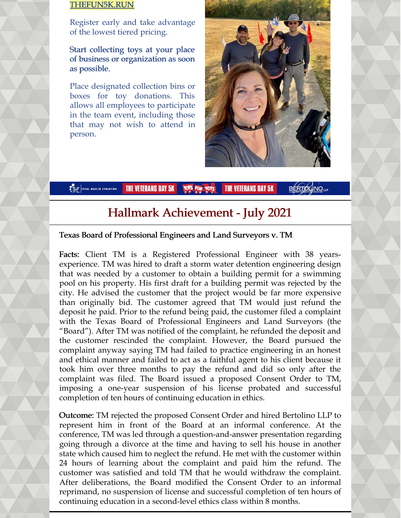## [THEFUN5K.RUN](https://thefun5k.run/)

Register early and take advantage of the lowest tiered pricing.

Start collecting toys at your place of business or organization as soon as possible.

Place designated collection bins or boxes for toy donations. This allows all employees to participate in the team event, including those that may not wish to attend in person.



**BERTOLINO**<sub>LLP</sub> THE TOTAL NEALTH EVOLUTION THE VETERANS DAY 5K **THE VETERANS DAY 5K** 

# Hallmark Achievement - July 2021

## Texas Board of Professional Engineers and Land Surveyors v. TM

Facts: Client TM is a Registered Professional Engineer with 38 yearsexperience. TM was hired to draft a storm water detention engineering design that was needed by a customer to obtain a building permit for a swimming pool on his property. His first draft for a building permit was rejected by the city. He advised the customer that the project would be far more expensive than originally bid. The customer agreed that TM would just refund the deposit he paid. Prior to the refund being paid, the customer filed a complaint with the Texas Board of Professional Engineers and Land Surveyors (the "Board"). After TM was notified of the complaint, he refunded the deposit and the customer rescinded the complaint. However, the Board pursued the complaint anyway saying TM had failed to practice engineering in an honest and ethical manner and failed to act as a faithful agent to his client because it took him over three months to pay the refund and did so only after the complaint was filed. The Board issued a proposed Consent Order to TM, imposing a one-year suspension of his license probated and successful completion of ten hours of continuing education in ethics.

Outcome: TM rejected the proposed Consent Order and hired Bertolino LLP to represent him in front of the Board at an informal conference. At the conference, TM was led through a question-and-answer presentation regarding going through a divorce at the time and having to sell his house in another state which caused him to neglect the refund. He met with the customer within 24 hours of learning about the complaint and paid him the refund. The customer was satisfied and told TM that he would withdraw the complaint. After deliberations, the Board modified the Consent Order to an informal reprimand, no suspension of license and successful completion of ten hours of continuing education in a second-level ethics class within 8 months.